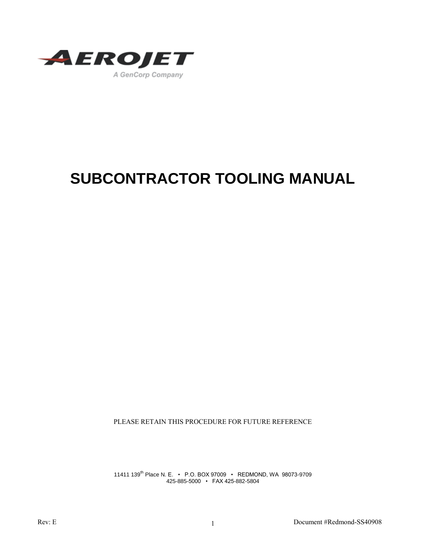

# **SUBCONTRACTOR TOOLING MANUAL**

PLEASE RETAIN THIS PROCEDURE FOR FUTURE REFERENCE

11411 139th Place N. E. • P.O. BOX 97009 • REDMOND, WA 98073-9709 425-885-5000 • FAX 425-882-5804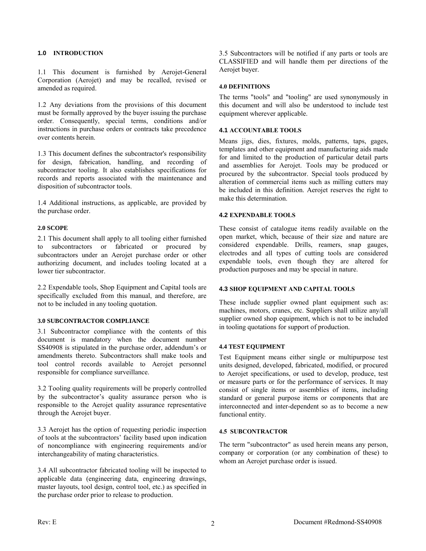# **1.0 INTRODUCTION**

1.1 This document is furnished by Aerojet-General Corporation (Aerojet) and may be recalled, revised or amended as required.

1.2 Any deviations from the provisions of this document must be formally approved by the buyer issuing the purchase order. Consequently, special terms, conditions and/or instructions in purchase orders or contracts take precedence over contents herein.

1.3 This document defines the subcontractor's responsibility for design, fabrication, handling, and recording of subcontractor tooling. It also establishes specifications for records and reports associated with the maintenance and disposition of subcontractor tools.

1.4 Additional instructions, as applicable, are provided by the purchase order.

# **2.0 SCOPE**

2.1 This document shall apply to all tooling either furnished to subcontractors or fabricated or procured by subcontractors under an Aerojet purchase order or other authorizing document, and includes tooling located at a lower tier subcontractor.

2.2 Expendable tools, Shop Equipment and Capital tools are specifically excluded from this manual, and therefore, are not to be included in any tooling quotation.

## **3.0 SUBCONTRACTOR COMPLIANCE**

3.1 Subcontractor compliance with the contents of this document is mandatory when the document number SS40908 is stipulated in the purchase order, addendum's or amendments thereto. Subcontractors shall make tools and tool control records available to Aerojet personnel responsible for compliance surveillance.

3.2 Tooling quality requirements will be properly controlled by the subcontractor's quality assurance person who is responsible to the Aerojet quality assurance representative through the Aerojet buyer.

3.3 Aerojet has the option of requesting periodic inspection of tools at the subcontractors' facility based upon indication of noncompliance with engineering requirements and/or interchangeability of mating characteristics.

3.4 All subcontractor fabricated tooling will be inspected to applicable data (engineering data, engineering drawings, master layouts, tool design, control tool, etc.) as specified in the purchase order prior to release to production.

3.5 Subcontractors will be notified if any parts or tools are CLASSIFIED and will handle them per directions of the Aerojet buyer.

# **4.0 DEFINITIONS**

The terms "tools" and "tooling" are used synonymously in this document and will also be understood to include test equipment wherever applicable.

# **4.1 ACCOUNTABLE TOOLS**

Means jigs, dies, fixtures, molds, patterns, taps, gages, templates and other equipment and manufacturing aids made for and limited to the production of particular detail parts and assemblies for Aerojet. Tools may be produced or procured by the subcontractor. Special tools produced by alteration of commercial items such as milling cutters may be included in this definition. Aerojet reserves the right to make this determination.

# **4.2 EXPENDABLE TOOLS**

These consist of catalogue items readily available on the open market, which, because of their size and nature are considered expendable. Drills, reamers, snap gauges, electrodes and all types of cutting tools are considered expendable tools, even though they are altered for production purposes and may be special in nature.

## **4.3 SHOP EQUIPMENT AND CAPITAL TOOLS**

These include supplier owned plant equipment such as: machines, motors, cranes, etc. Suppliers shall utilize any/all supplier owned shop equipment, which is not to be included in tooling quotations for support of production.

# **4.4 TEST EQUIPMENT**

Test Equipment means either single or multipurpose test units designed, developed, fabricated, modified, or procured to Aerojet specifications, or used to develop, produce, test or measure parts or for the performance of services. It may consist of single items or assemblies of items, including standard or general purpose items or components that are interconnected and inter-dependent so as to become a new functional entity.

## **4.5 SUBCONTRACTOR**

The term "subcontractor" as used herein means any person, company or corporation (or any combination of these) to whom an Aerojet purchase order is issued.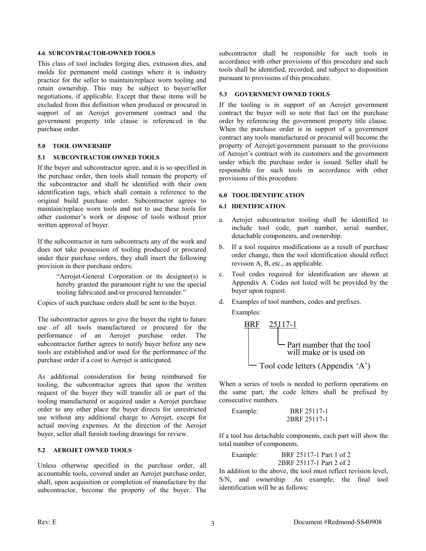#### **4.6 SUBCONTRACTOR-OWNED TOOLS**

This class of tool includes forging dies, extrusion dies, and molds for permanent mold castings where it is industry practice for the seller to maintain/replace worn tooling and retain ownership. This may be subject to buyer/seller negotiations, if applicable. Except that these items will be excluded from this definition when produced or procured in support of an Aerojet government contract and the government property title clause is referenced in the purchase order.

# **5.0 TOOL OWNERSHIP**

# **5.1 SUBCONTRACTOR OWNED TOOLS**

If the buyer and subcontractor agree, and it is so specified in the purchase order, then tools shall remain the property of the subcontractor and shall be identified with their own identification tags, which shall contain a reference to the original build purchase order. Subcontractor agrees to maintain/replace worn tools and not to use these tools for other customer's work or dispose of tools without prior written approval of buyer.

If the subcontractor in turn subcontracts any of the work and does not take possession of tooling produced or procured under their purchase orders, they shall insert the following provision in their purchase orders:

> "Aerojet-General Corporation or its designee(s) is hereby granted the paramount right to use the special tooling fabricated and/or procured hereunder."

Copies of such purchase orders shall be sent to the buyer.

The subcontractor agrees to give the buyer the right to future use of all tools manufactured or procured for the performance of an Aerojet purchase order. The subcontractor further agrees to notify buyer before any new tools are established and/or used for the performance of the purchase order if a cost to Aerojet is anticipated.

As additional consideration for being reimbursed for tooling, the subcontractor agrees that upon the written request of the buyer they will transfer all or part of the tooling manufactured or acquired under a Aerojet purchase order to any other place the buyer directs for unrestricted use without any additional charge to Aerojet, except for actual moving expenses. At the direction of the Aerojet buyer, seller shall furnish tooling drawings for review.

## **5.2 AEROJET OWNED TOOLS**

Unless otherwise specified in the purchase order, all accountable tools, covered under an Aerojet purchase order, shall, upon acquisition or completion of manufacture by the subcontractor, become the property of the buyer. The subcontractor shall be responsible for such tools in accordance with other provisions of this procedure and such tools shall be identified, recorded, and subject to disposition pursuant to provisions of this procedure.

# **5.3 GOVERNMENT OWNED TOOLS**

If the tooling is in support of an Aerojet government contract the buyer will so note that fact on the purchase order by referencing the government property title clause. When the purchase order is in support of a government contract any tools manufactured or procured will become the property of Aerojet/government pursuant to the provisions of Aerojet's contract with its customers and the government under which the purchase order is issued. Seller shall be responsible for such tools in accordance with other provisions of this procedure.

# **6.0 TOOL IDENTIFICATION**

# **6.1 IDENTIFICATION**

- a. Aerojet subcontractor tooling shall be identified to include tool code, part number, serial number, detachable components, and ownership.
- b. If a tool requires modifications as a result of purchase order change, then the tool identification should reflect revision A, B, etc., as applicable.
- c. Tool codes required for identification are shown at Appendix A. Codes not listed will be provided by the buyer upon request.
- d. Examples of tool numbers, codes and prefixes.

Examples:

| BRF                                               | $25117-1$ |
|---------------------------------------------------|-----------|
| Part number that the tool will make or is used on |           |
| Pool code letters (Appendix 'A')                  |           |

When a series of tools is needed to perform operations on the same part, the code letters shall be prefixed by consecutive numbers.

Example: BRF 25117-1 2BRF 25117-1

If a tool has detachable components, each part will show the total number of components.

Example: BRF 25117-1 Part 1 of 2 2BRF 25117-1 Part 2 of 2

In addition to the above, the tool must reflect revision level, S/N, and ownership. An example, the final tool identification will be as follows: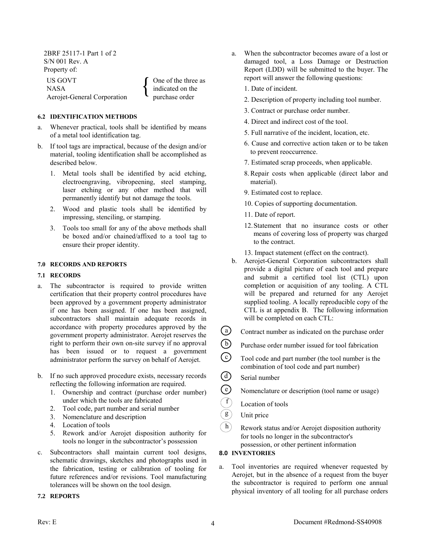2BRF 25117-1 Part 1 of 2 S/N 001 Rev. A Property of:

US GOVT NASA Aerojet-General Corporation  $\{$ One of the three as indicated on the purchase order

# **6.2 IDENTIFICATION METHODS**

- a. Whenever practical, tools shall be identified by means of a metal tool identification tag.
- b. If tool tags are impractical, because of the design and/or material, tooling identification shall be accomplished as described below.
	- 1. Metal tools shall be identified by acid etching, electroengraving, vibropeening, steel stamping, laser etching or any other method that will permanently identify but not damage the tools.
	- 2. Wood and plastic tools shall be identified by impressing, stenciling, or stamping.
	- 3. Tools too small for any of the above methods shall be boxed and/or chained/affixed to a tool tag to ensure their proper identity.

## **7.0 RECORDS AND REPORTS**

## **7.1 RECORDS**

- a. The subcontractor is required to provide written certification that their property control procedures have been approved by a government property administrator if one has been assigned. If one has been assigned, subcontractors shall maintain adequate records in accordance with property procedures approved by the government property administrator. Aerojet reserves the right to perform their own on-site survey if no approval has been issued or to request a government administrator perform the survey on behalf of Aerojet.
- b. If no such approved procedure exists, necessary records reflecting the following information are required.
	- 1. Ownership and contract (purchase order number) under which the tools are fabricated
	- 2. Tool code, part number and serial number
	- 3. Nomenclature and description
	- 4. Location of tools
	- 5. Rework and/or Aerojet disposition authority for tools no longer in the subcontractor's possession
- c. Subcontractors shall maintain current tool designs, schematic drawings, sketches and photographs used in the fabrication, testing or calibration of tooling for future references and/or revisions. Tool manufacturing tolerances will be shown on the tool design.

## **7.2 REPORTS**

a. When the subcontractor becomes aware of a lost or damaged tool, a Loss Damage or Destruction Report (LDD) will be submitted to the buyer. The report will answer the following questions:

1. Date of incident.

- 2. Description of property including tool number.
- 3. Contract or purchase order number.
- 4. Direct and indirect cost of the tool.
- 5. Full narrative of the incident, location, etc.
- 6. Cause and corrective action taken or to be taken to prevent reoccurrence.
- 7. Estimated scrap proceeds, when applicable.
- 8.Repair costs when applicable (direct labor and material).
- 9. Estimated cost to replace.
- 10. Copies of supporting documentation.
- 11. Date of report.
- 12.Statement that no insurance costs or other means of covering loss of property was charged to the contract.
- 13. Impact statement (effect on the contract).
- b. Aerojet-General Corporation subcontractors shall provide a digital picture of each tool and prepare and submit a certified tool list (CTL) upon completion or acquisition of any tooling. A CTL will be prepared and returned for any Aerojet supplied tooling. A locally reproducible copy of the CTL is at appendix B. The following information will be completed on each CTL:
- $\binom{a}{b}$ Contract number as indicated on the purchase order
- $\bigcirc$ Purchase order number issued for tool fabrication

Tool code and part number (the tool number is the combination of tool code and part number)

 $\bigcirc$ Serial number

c

e

h

- Nomenclature or description (tool name or usage)
- Location of tools
- Unit price g
	- Rework status and/or Aerojet disposition authority for tools no longer in the subcontractor's possession, or other pertinent information

# **8.0 INVENTORIES**

a. Tool inventories are required whenever requested by Aerojet, but in the absence of a request from the buyer the subcontractor is required to perform one annual physical inventory of all tooling for all purchase orders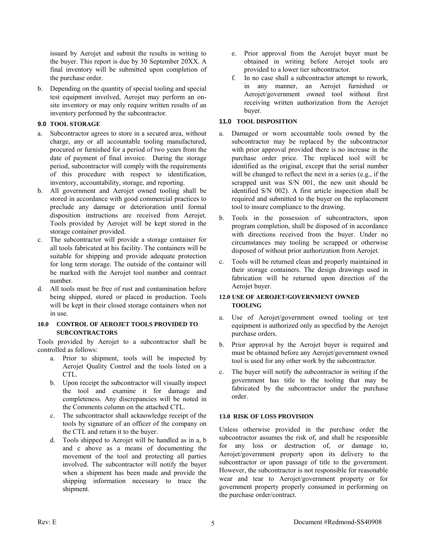issued by Aerojet and submit the results in writing to the buyer. This report is due by 30 September 20XX. A final inventory will be submitted upon completion of the purchase order.

b. Depending on the quantity of special tooling and special test equipment involved, Aerojet may perform an onsite inventory or may only require written results of an inventory performed by the subcontractor.

# **9.0 TOOL STORAGE**

- a. Subcontractor agrees to store in a secured area, without charge, any or all accountable tooling manufactured, procured or furnished for a period of two years from the date of payment of final invoice. During the storage period, subcontractor will comply with the requirements of this procedure with respect to identification, inventory, accountability, storage, and reporting.
- b. All government and Aerojet owned tooling shall be stored in accordance with good commercial practices to preclude any damage or deterioration until formal disposition instructions are received from Aerojet. Tools provided by Aerojet will be kept stored in the storage container provided.
- c. The subcontractor will provide a storage container for all tools fabricated at his facility. The containers will be suitable for shipping and provide adequate protection for long term storage. The outside of the container will be marked with the Aerojet tool number and contract number.
- d. All tools must be free of rust and contamination before being shipped, stored or placed in production. Tools will be kept in their closed storage containers when not in use.

## **10.0 CONTROL OF AEROJET TOOLS PROVIDED TO SUBCONTRACTORS**

Tools provided by Aerojet to a subcontractor shall be controlled as follows:

- a. Prior to shipment, tools will be inspected by Aerojet Quality Control and the tools listed on a CTL.
- b. Upon receipt the subcontractor will visually inspect the tool and examine it for damage and completeness. Any discrepancies will be noted in the Comments column on the attached CTL.
- c. The subcontractor shall acknowledge receipt of the tools by signature of an officer of the company on the CTL and return it to the buyer.
- d. Tools shipped to Aerojet will be handled as in a, b and c above as a means of documenting the movement of the tool and protecting all parties involved. The subcontractor will notify the buyer when a shipment has been made and provide the shipping information necessary to trace the shipment.
- e. Prior approval from the Aerojet buyer must be obtained in writing before Aerojet tools are provided to a lower tier subcontractor.
- f. In no case shall a subcontractor attempt to rework, in any manner, an Aerojet furnished or Aerojet/government owned tool without first receiving written authorization from the Aerojet buyer.

# **11.0 TOOL DISPOSITION**

- a. Damaged or worn accountable tools owned by the subcontractor may be replaced by the subcontractor with prior approval provided there is no increase in the purchase order price. The replaced tool will be identified as the original, except that the serial number will be changed to reflect the next in a series (e.g., if the scrapped unit was S/N 001, the new unit should be identified S/N 002). A first article inspection shall be required and submitted to the buyer on the replacement tool to insure compliance to the drawing.
- b. Tools in the possession of subcontractors, upon program completion, shall be disposed of in accordance with directions received from the buyer. Under no circumstances may tooling be scrapped or otherwise disposed of without prior authorization from Aerojet.
- c. Tools will be returned clean and properly maintained in their storage containers. The design drawings used in fabrication will be returned upon direction of the Aerojet buyer.

# **12.0 USE OF AEROJET/GOVERNMENT OWNED TOOLING**

- a. Use of Aerojet/government owned tooling or test equipment is authorized only as specified by the Aerojet purchase orders.
- b. Prior approval by the Aerojet buyer is required and must be obtained before any Aerojet/government owned tool is used for any other work by the subcontractor.
- c. The buyer will notify the subcontractor in writing if the government has title to the tooling that may be fabricated by the subcontractor under the purchase order.

# **13.0 RISK OF LOSS PROVISION**

Unless otherwise provided in the purchase order the subcontractor assumes the risk of, and shall be responsible for any loss or destruction of, or damage to, Aerojet/government property upon its delivery to the subcontractor or upon passage of title to the government. However, the subcontractor is not responsible for reasonable wear and tear to Aerojet/government property or for government property properly consumed in performing on the purchase order/contract.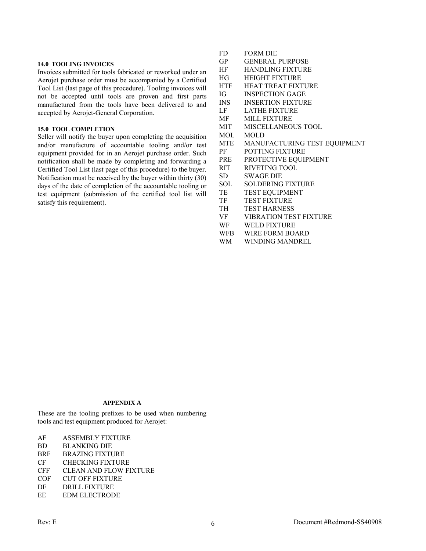#### **14.0 TOOLING INVOICES**

Invoices submitted for tools fabricated or reworked under an Aerojet purchase order must be accompanied by a Certified Tool List (last page of this procedure). Tooling invoices will not be accepted until tools are proven and first parts manufactured from the tools have been delivered to and accepted by Aerojet-General Corporation.

## **15.0 TOOL COMPLETION**

Seller will notify the buyer upon completing the acquisition and/or manufacture of accountable tooling and/or test equipment provided for in an Aerojet purchase order. Such notification shall be made by completing and forwarding a Certified Tool List (last page of this procedure) to the buyer. Notification must be received by the buyer within thirty (30) days of the date of completion of the accountable tooling or test equipment (submission of the certified tool list will satisfy this requirement).

- FD FORM DIE
- GP GENERAL PURPOSE
- HF HANDLING FIXTURE
- HG HEIGHT FIXTURE
- HTF HEAT TREAT FIXTURE
- IG INSPECTION GAGE
- INS INSERTION FIXTURE
- LF LATHE FIXTURE
- MF MILL FIXTURE
- MIT MISCELLANEOUS TOOL
- MOL MOLD
- MTE MANUFACTURING TEST EQUIPMENT
- PF POTTING FIXTURE
- PRE PROTECTIVE EQUIPMENT
- RIT RIVETING TOOL
- SD SWAGE DIE
- SOL SOLDERING FIXTURE
- TE TEST EQUIPMENT
- TF TEST FIXTURE
- TH TEST HARNESS
- VF VIBRATION TEST FIXTURE
- WF WELD FIXTURE
- WFB WIRE FORM BOARD
- WM WINDING MANDREL

# **APPENDIX A**

These are the tooling prefixes to be used when numbering tools and test equipment produced for Aerojet:

- AF ASSEMBLY FIXTURE
- BD BLANKING DIE
- BRF BRAZING FIXTURE
- CF CHECKING FIXTURE
- CFF CLEAN AND FLOW FIXTURE
- COF CUT OFF FIXTURE
- DF DRILL FIXTURE
- EE EDM ELECTRODE